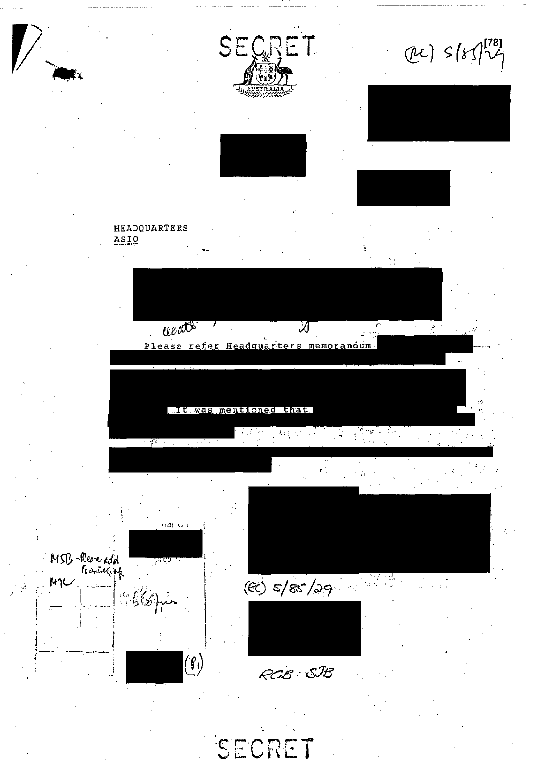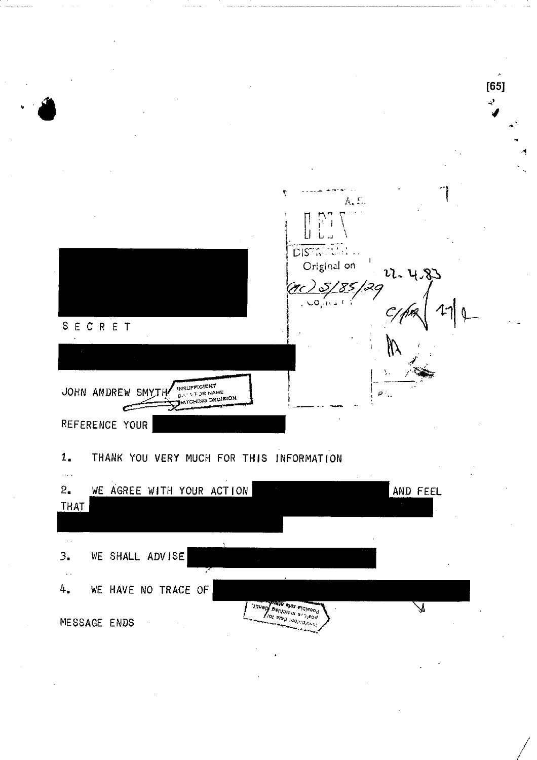$[65]$ ٢ A. U. DISTRICE: Original on u. 4,  $CO(1/3)$ SECRET INSUFFICIENT JOHN ANDREW SMYT  $\rho$  . **ATCHING DECISION** Ċ. REFERENCE YOUR  $1.$ THANK YOU VERY MUCH FOR THIS INFORMATION  $\bar{\phi}$  . AND FEEL  $2_{\bullet}$ WE AGREE WITH YOUR ACTION THAT  $\sim$ WE SHALL ADVISE  $3.$  $\bar{\mathcal{A}}$  . WE HAVE NO TRACE OF 4. ing also indicated  $\overline{\mathbf{z}}$ MESSAGE ENDS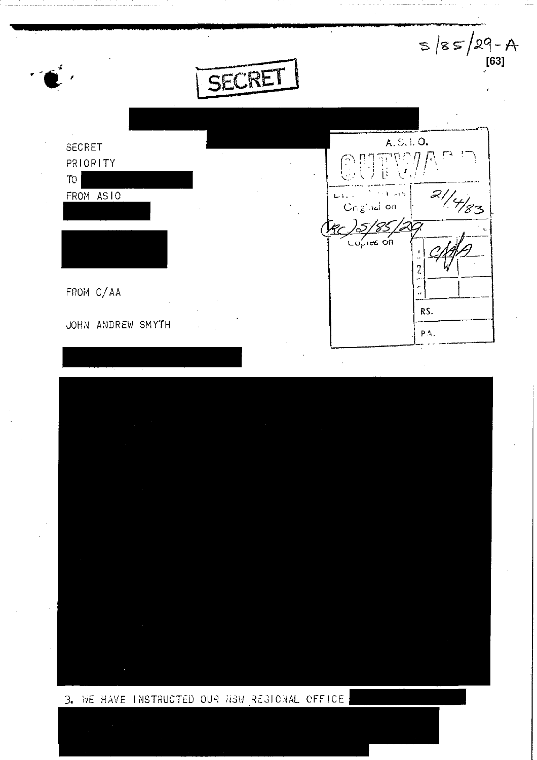SECRET

| ٠         |    |
|-----------|----|
| SECRET    | ×. |
| PRIORITY  |    |
| TO        |    |
| FROM ASIO |    |
|           | ٠  |
|           |    |
|           |    |
|           |    |

FROM C/AA JOHN ANDREW SMYTH



 $S$  /8  $S$ /29 - A



## 3. WE HAVE INSTRUCTED OUR HOW REGIONAL OFFICE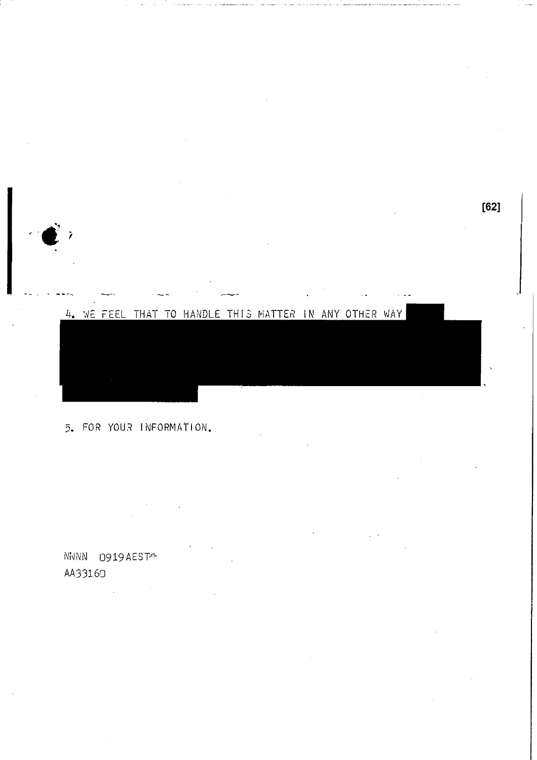

### 5. FOR YOUR INFORMATION.

NNNN 0919AEST<sup>-</sup> AA33160 in<br>San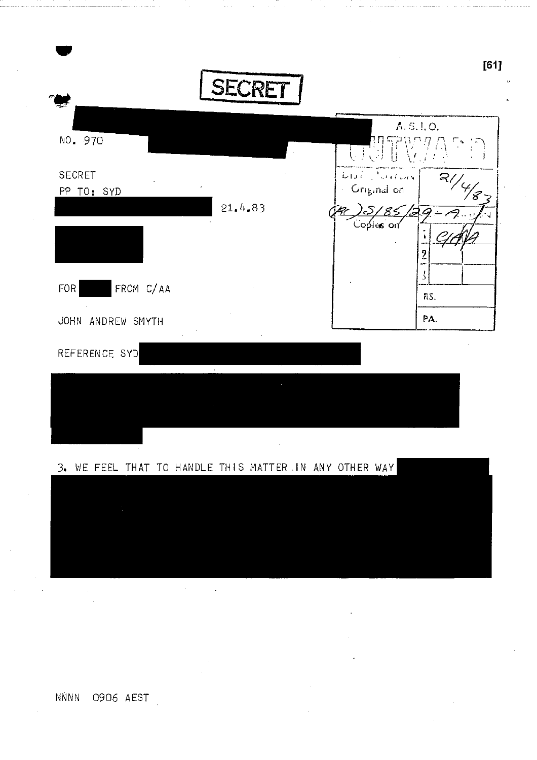

NNNN 0906 AEST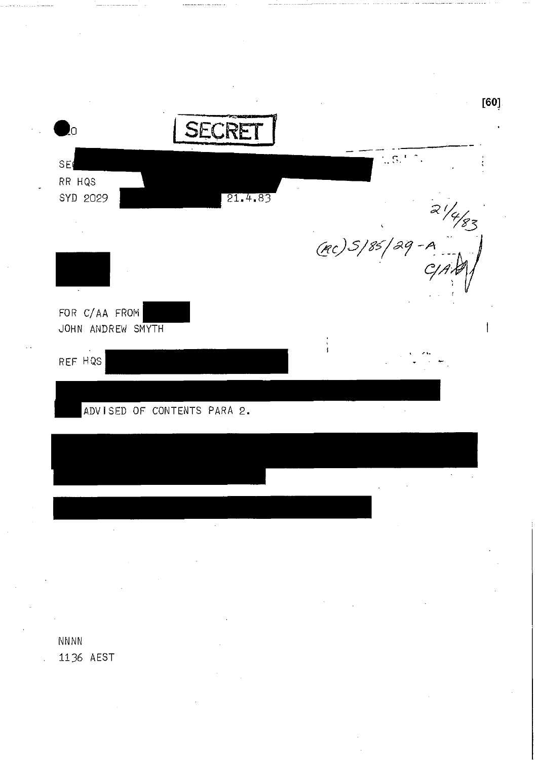$[60]$ SECRET  $\sim 5^{-6}$ SE RR HQS SYD 2029  $rac{27}{1}$ <br>(RC) 5/85/29-A<br>CJAX)  $21.4.83$ FOR C/AA FROM JOHN ANDREW SMYTH REF HQS ADVISED OF CONTENTS PARA 2. **NNNN** 

1136 AEST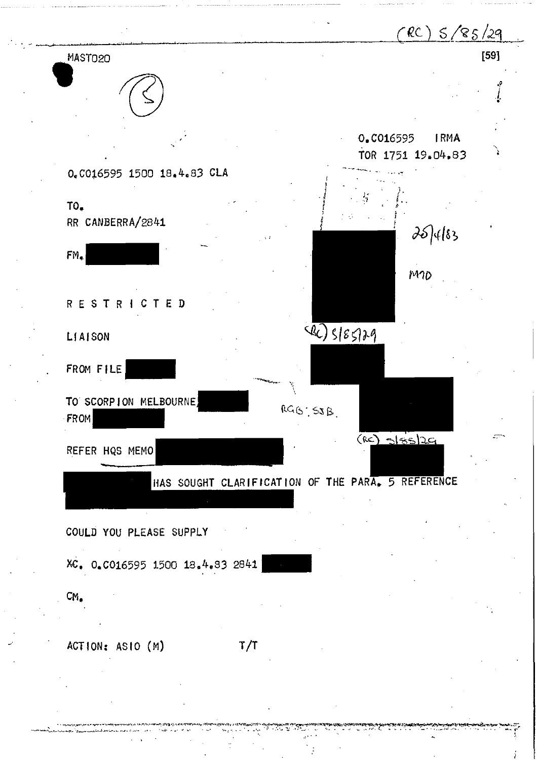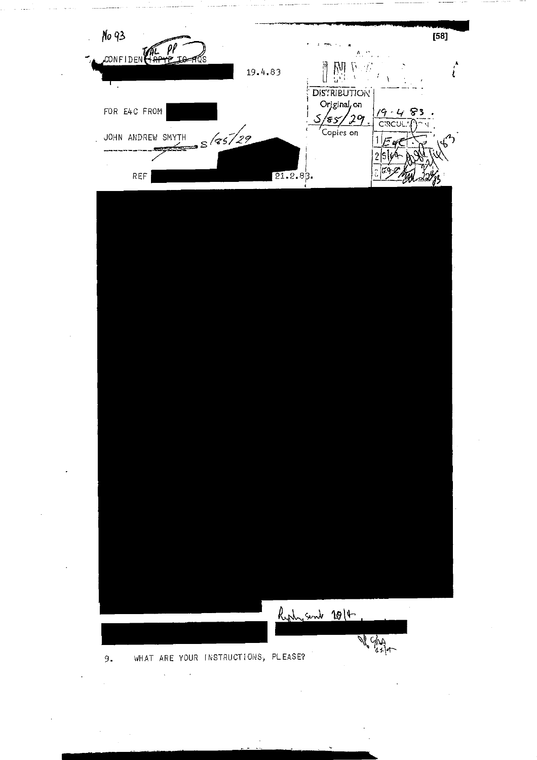

 $\ddot{\phantom{a}}$  $\overline{a}$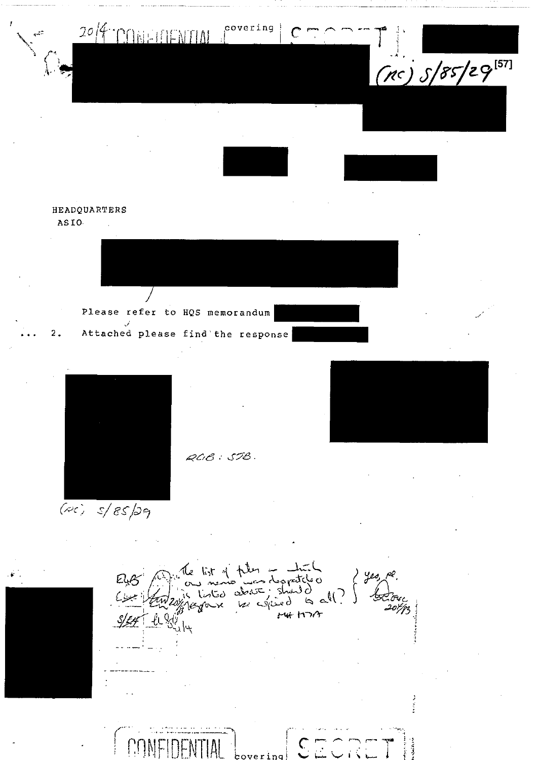

covering  $\Gamma$ 

 $(nc)$   $S/85/29^{[57]}$ 

### HEADQUARTERS ASIO.

 $\overline{2}$ .

Please refer to HQS memorandum





 $ACB: SIB.$ 

 $15r$  of  $r$  then  $+$   $$ s nemb was despatched<br>listed about should<br>grown par espined to all. ) yes legrave  $14 + 1177$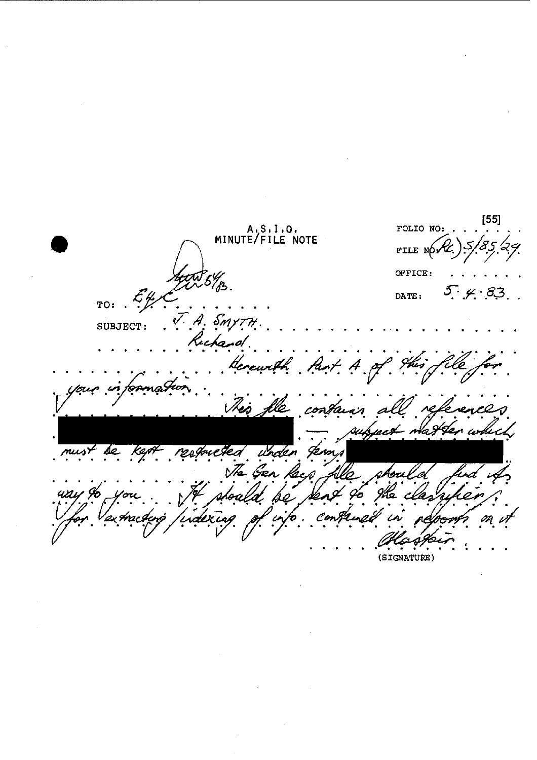$[55]$ A.S.I.O.<br>MINUTE/FILE NOTE FOLIO NO: FILE NO OFFICE:  $5\frac{1}{3}$  $5.4.83$ DATE:  $TO:$ A. Smy SUBJECT: u cha Pari rewith  $\frac{1}{\sqrt{2}}$ !t This fle contain a وربومه The Gen (SIGNATURE)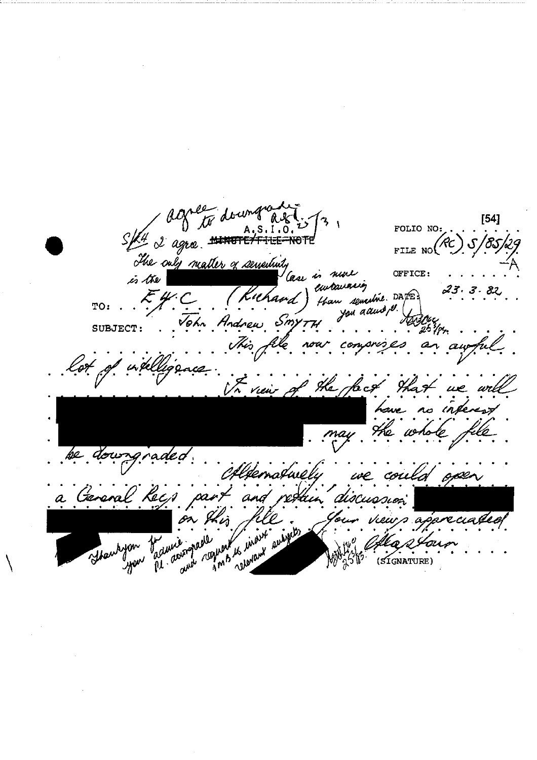Eft 2 agre ##### downy  $[54]$ FOLIO NO: FILE NO The only matter of servertuity OFFICE: Case is near is the eurouaning  $E$ y C than senestine. DATE? (Kichaod  $\frac{1}{2}$ TO: Vohn Andrew Smy SUBJECT: This file n ay fu  $\frac{1}{2}$ To view of the fact that no inte hove He ke. e could open a Geraral Kecs pas ang tun rz request to invoit answers Shawhyou badwie apropo  $(51$ GNATURE)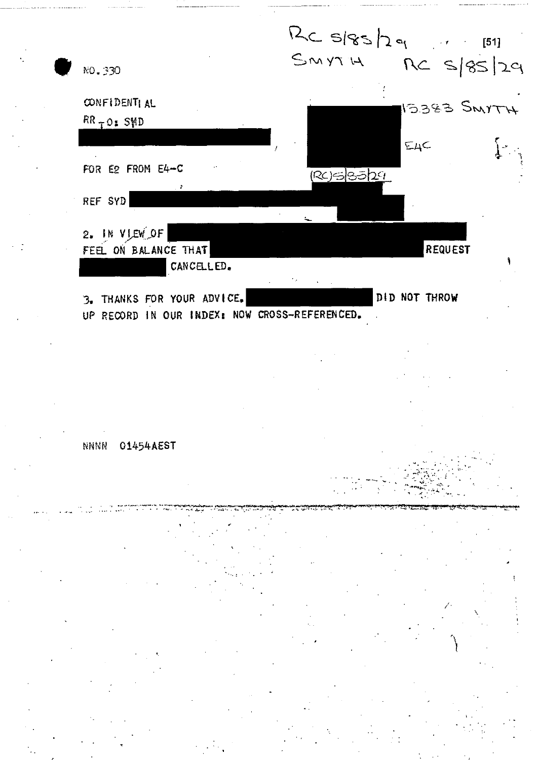

. . . . • • • ' ' '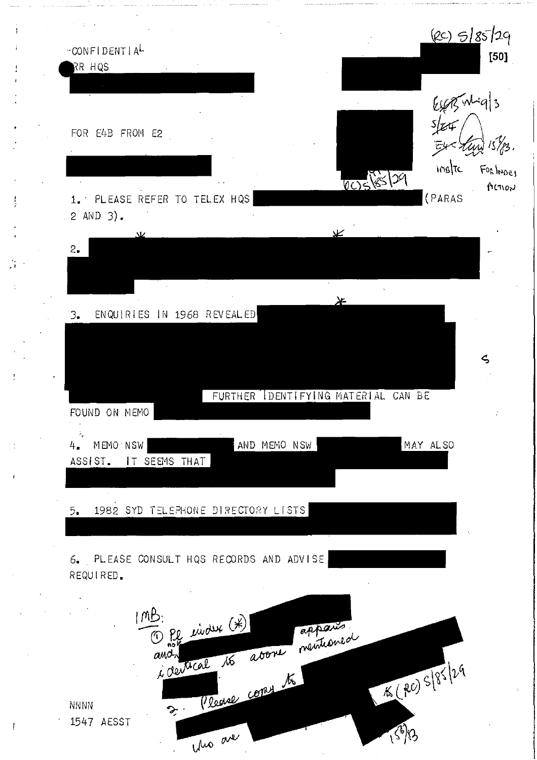(RC) 5/85/29 CONFIDENTIAL  $[50]$ RR HQS Español 3 FOR E4B FROM E2  $15\frac{7}{13}$ . ingte FORINDER 005/85/29 ALTION 1. PLEASE REFER TO TELEX HQS (PARAS 2 AND 3).  $2.$ ⊁ ENQUIRIES IN 1968 REVEALED  $\mathfrak{Z}_{\bullet}$  $\zeta$ FURTHER IDENTIFYING MATERIAL CAN BE FOUND ON NEMO MEMO NSW AND MEMO NSW MAY ALSO 4. ASSIST. IT SEEMS THAT 1982 SYD TELEPHONE DIRECTORY LISTS 5. 6. PLEASE CONSULT HQS RECORDS AND ADVISE REQUIRED.  $mB$ 1) Pl ender (\*) appares. 16 avone mémbred  $and$ icentical 16 (20) S/85/29 Rease come to NNNV  $\mathcal{F}$ 1547 AESST  $\sqrt{3}$ who are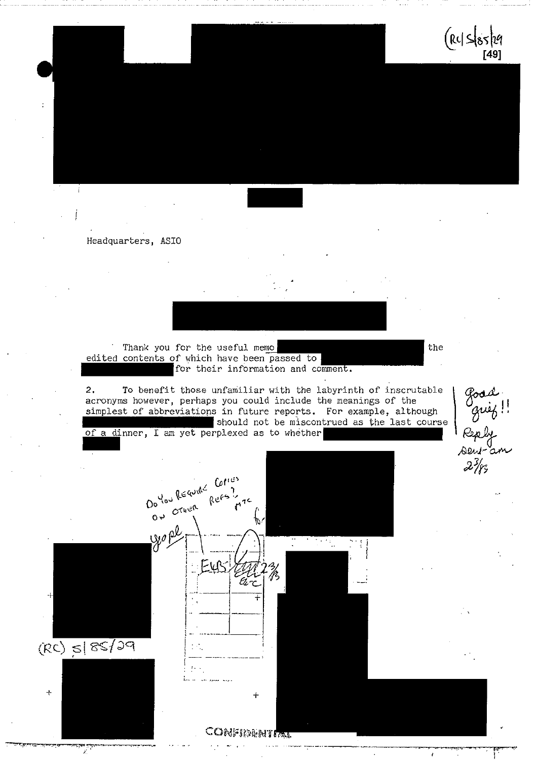

Headquarters, ASIO

Thank you for the useful memo the the the edited contents of which have been passed to for their information and comment.

2. To benefit those unfamiliar with the labyrinth of inscrutable acronyms however, perhaps you could include the meanings of the simplest of abbreviations in future reports. For example, although should not be miscontrued as the last course

of a dinner, I am yet perplexed as to whether



good<br>guig<br>Reply<br>seur-a  $2\frac{3}{5}$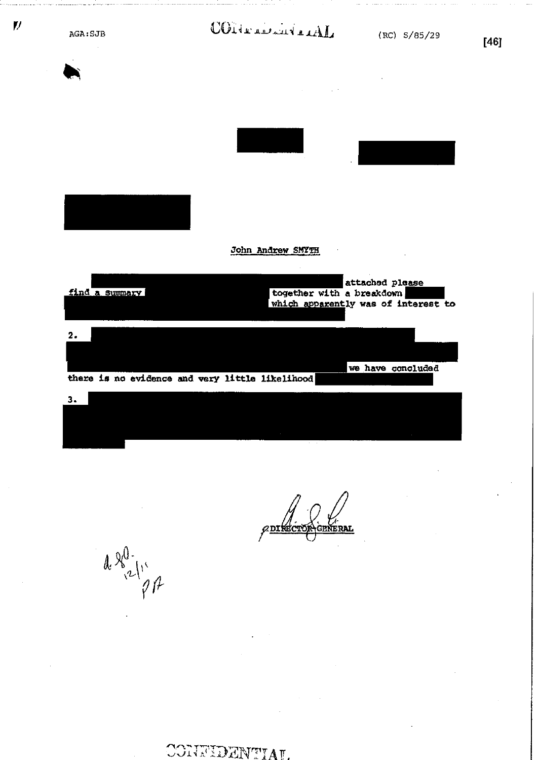| AGA: SJB       | CONTRACTION                                     | (RC) S/85/29                                           |
|----------------|-------------------------------------------------|--------------------------------------------------------|
|                |                                                 |                                                        |
|                |                                                 |                                                        |
|                |                                                 |                                                        |
|                |                                                 |                                                        |
|                |                                                 |                                                        |
|                | John Andrew SMYTH                               |                                                        |
| find a summary | together with a breakdown                       | attached please<br>which apparently was of interest to |
| $\mathbf{2}$   |                                                 |                                                        |
|                |                                                 | we have concluded                                      |
|                | there is no evidence and very little likelihood |                                                        |
| 3.             |                                                 |                                                        |
|                |                                                 |                                                        |

/ V/<br>General *C***DIRCT** 

 $a\frac{1}{2}\sqrt{\frac{1}{2}}$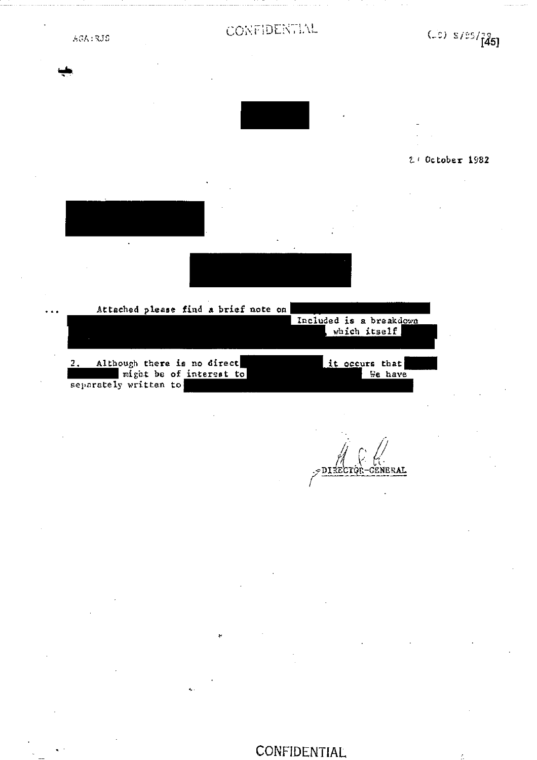

### *Zr* October 1982

Attached please find a brief note on Included is a breakdown which itself 2. Although there is no direct it occurs that we have it occurs that  $\frac{1}{2}$  it occurs that might be of interest to which we have separately written to

*r,*  DI<del>1</del>ECIQR-GENERAL

**CONFIDENTIAL**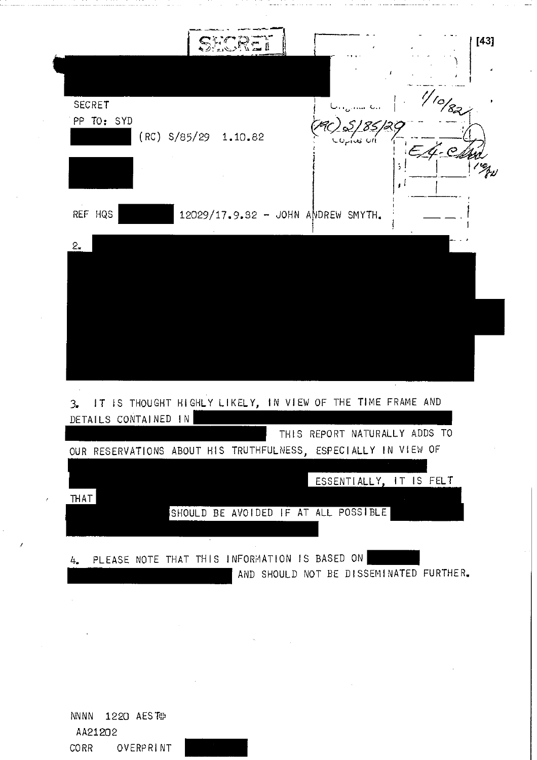

NNNN 1220 AESTOP AA21202 CORR OVERPRINT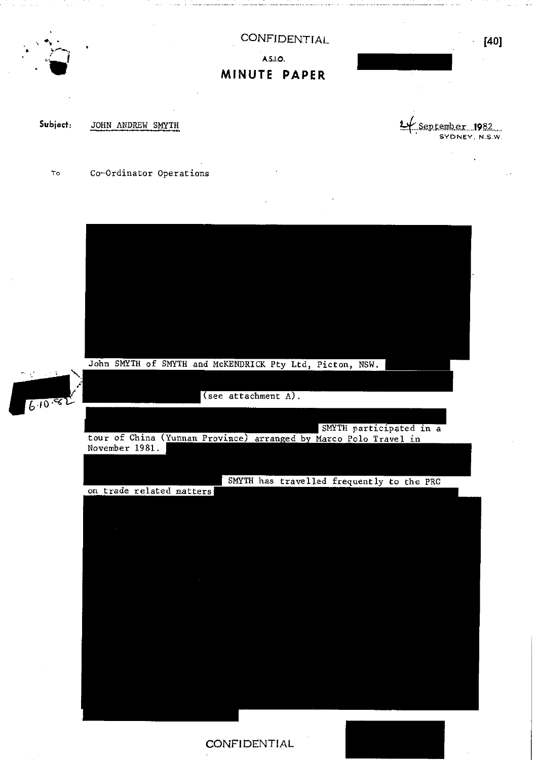

## CONFIDENTIAL **AS 1.0. MINUTE PAPER**

•

Subject: JOHN ANDREW SMYTH **Let** September 1982... SYDNEY, N.S.W.

**[40]** 

To Co-Ordinator Operations

John SMYTH of SMYTH and McKENDRICK Pty Ltd, Picton, NSW.



(see attachment A).

SMYTH participated in a tour of China (Yunnan Province) arranged by Marco Polo Travel in November 1981.

SMYTH has travelled frequently to the PRC on trade related matters

**CONFIDENTIAL**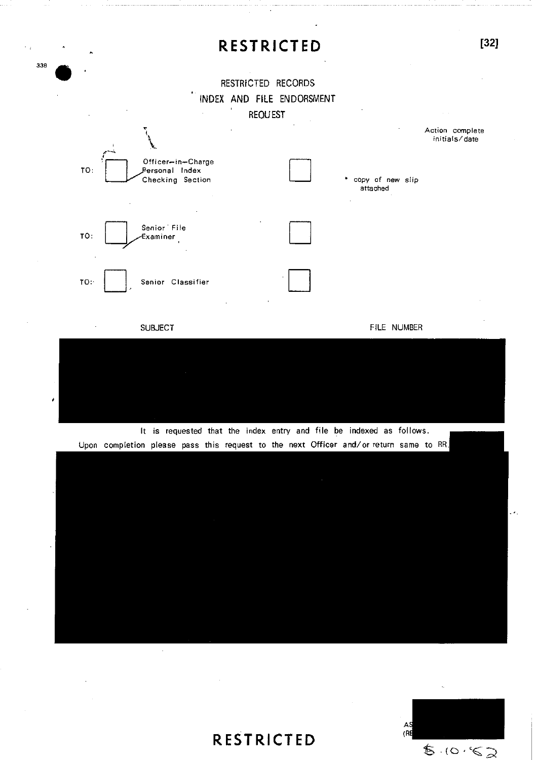## **RESTRICTED [32]**

### RESTRICTED RECORDS INDEX AND FILE ENDORSMENT REQUEST

338 ,



It is requested that the index entry and file be indexed as follows. Upon completion please pass this request to the next Officer and/or return same to RR.



# **RESTRICTED**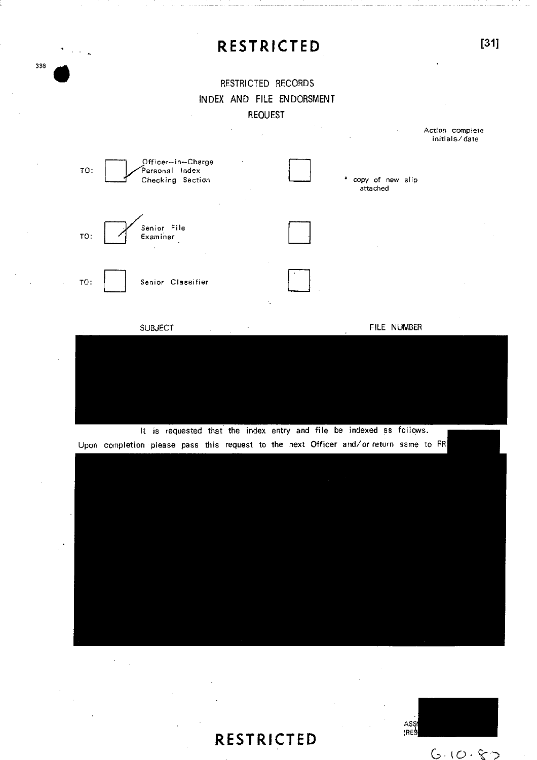# **RESTRICTED [31]**

### RESTRICTED RECORDS INDEX AND FILE ENDORSMENT REQUEST

338 •



It is requested that the index entry and file be indexed as follows. Upon completion please pass this request to the next Officer and/or return same to RR

**RESTRICTED** 

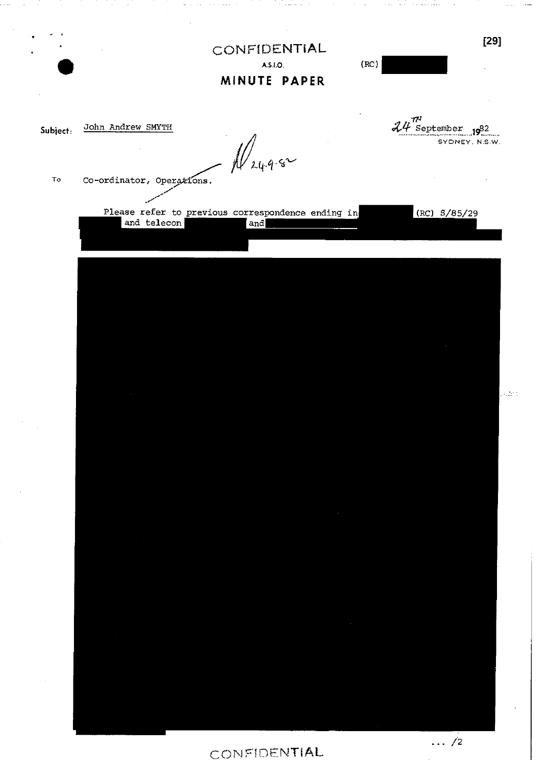|        | CONFIDENTIAL<br>A.S.I.O.<br>MINUTE PAPER                                | (RC) | $[29]$                                               |              |
|--------|-------------------------------------------------------------------------|------|------------------------------------------------------|--------------|
| oject: | John Andrew SMYTH<br>$\mathcal{W}_{24.9.8}$                             |      | $24 \frac{\pi^2}{8}$ september 1982<br>SYONEY N.S.W. |              |
| То     | Co-ordinator, Operations.                                               |      |                                                      |              |
|        | Please refer to previous correspondence ending in<br>and telecon<br>and |      | $RC)$ $5/85/29$                                      |              |
|        |                                                                         |      |                                                      |              |
|        |                                                                         |      |                                                      |              |
|        |                                                                         |      |                                                      |              |
|        |                                                                         |      |                                                      | ر<br>دیگر در |
|        |                                                                         |      |                                                      |              |
|        |                                                                         |      |                                                      |              |
|        |                                                                         |      |                                                      |              |
|        | <u> Bandariya</u>                                                       |      |                                                      |              |
|        |                                                                         |      |                                                      |              |

 $Subject.$ 

CONFIDENTIAL

 $\frac{1}{\cdots}$ /2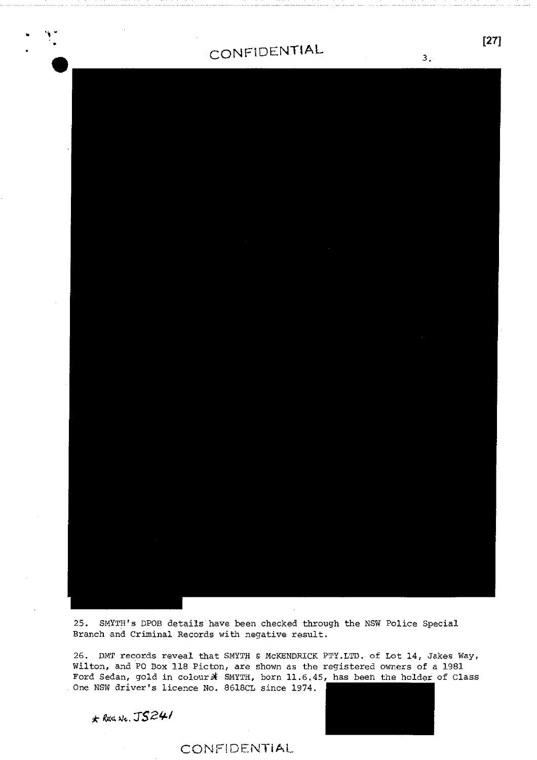

25. SMYTH's DPOB details have been checked through the NSW Police Special Branch and Criminal Records with negative result.

26. DMT records reveal that SMYTH & McKENDRICK PTY.LTD. of Lot 14, Jakes Way, Wilton, and PO Box 118 Picton, are shown as the registered owners of a 1981 Ford Sedan, gold in colour  $\hat{x}$  SMYTH, born 11.6.45, has been the holder of Class One NSW driver's licence No. 8618CL since 1974.

*RE4 <sup>k</sup>IS241* 

### CONFIDENTiAL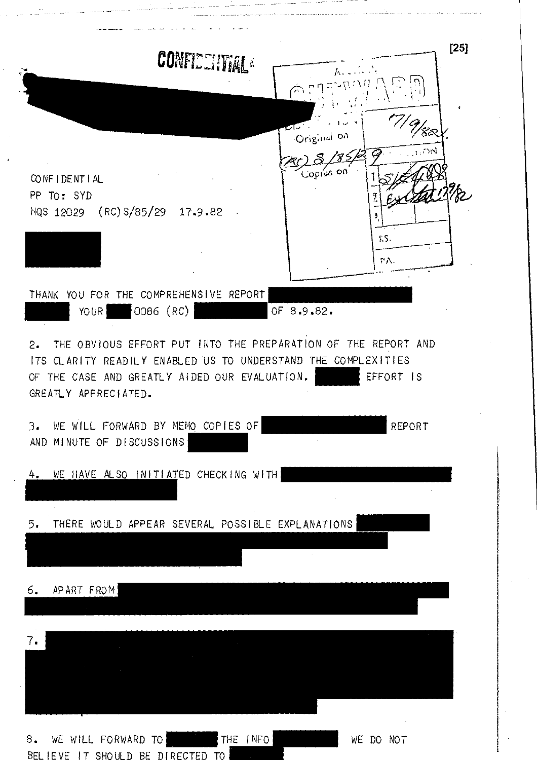| CONFIEDINTAL                                                                                                                                                                                                     | $[25]$<br>17/9/82<br>ا مآت                              |
|------------------------------------------------------------------------------------------------------------------------------------------------------------------------------------------------------------------|---------------------------------------------------------|
| CONFIDENTIAL<br>PP TO: SYD<br>HQS 12029 (RC) S/85/29 17.9.82                                                                                                                                                     | Original on<br>$\sim$ $\sim$<br>Copies on<br>KS.<br>ΨÅ. |
| THANK YOU FOR THE COMPREHENSIVE REPORT.<br>OO86 (RC)<br>YOUR                                                                                                                                                     | OF 8.9.82.                                              |
| THE OBVIOUS EFFORT PUT INTO THE PREPARATION OF THE REPORT AND<br>2.<br>ITS CLARITY READILY ENABLED US TO UNDERSTAND THE COMPLEXITIES<br>THE CASE AND GREATLY AIDED OUR EVALUATION.<br>OF<br>GREATLY APPRECIATED. | EFFORT IS                                               |
| WE WILL FORWARD BY MEMO COPIES OF<br>3.<br>AND MINUTE OF DISCUSSIONS                                                                                                                                             | REPORT                                                  |
| WE HAVE ALSO INITIATED CHECKING WITH<br>4.                                                                                                                                                                       |                                                         |
| THERE WOULD APPEAR SEVERAL POSSIBLE EXPLANATIONS<br>5.                                                                                                                                                           | $\sim$                                                  |
| APART FROM<br>6.                                                                                                                                                                                                 |                                                         |
| 7.                                                                                                                                                                                                               |                                                         |
| WE WILL FORWARD TO<br>THE [NFO]<br>8.                                                                                                                                                                            | WE DO NOT                                               |

والمتحصر وسيست المحصار المناز

 $\hat{\varphi}$  is a<br>generated as

المحصر المناصبين

 $\tau_{\rm{reco}}$  and  $\tau_{\rm{reco}}$  is a constant of the contract of  $\tau_{\rm{reco}}$ 

 $\gamma_{\rm{min}}$  and  $\gamma_{\rm{max}}$ 

 $\epsilon$ 

 $\ldots$  .

 $\sim$   $\sim$   $\sim$   $\sim$   $\sim$   $\sim$   $\sim$   $\sim$ 

والمتماس فتواصل فالمحافظ والمحارب المستفسر استدر سماني والأربان

 $\cdot$ 

an managain and an action of a material and

 $\sim$  complexes the contract

BELIEVE IT SHOULD BE DIRECTED TO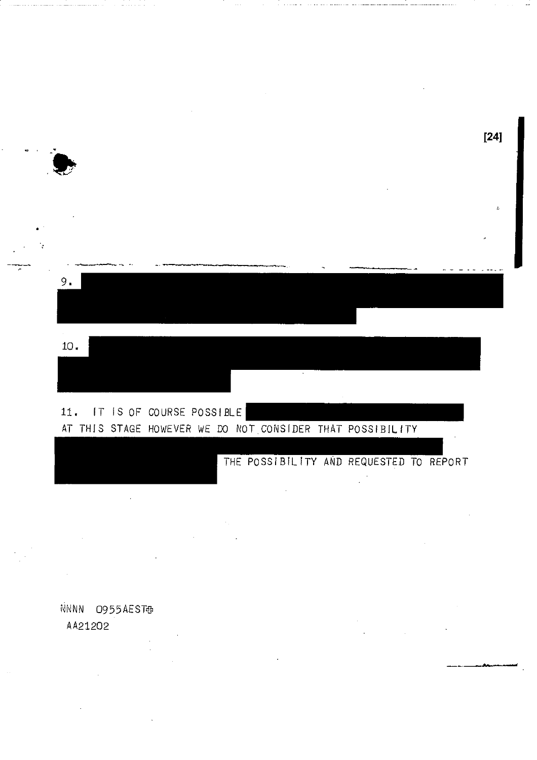

NNNN 0955AEST AA21202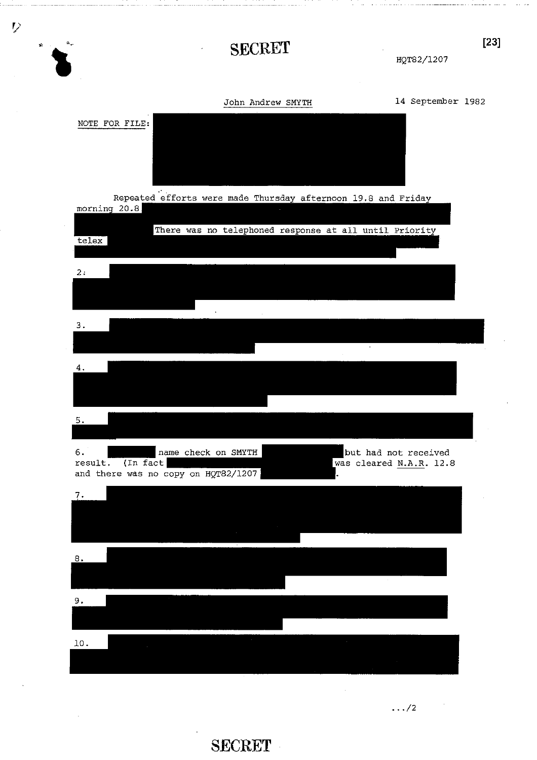

**SECRET**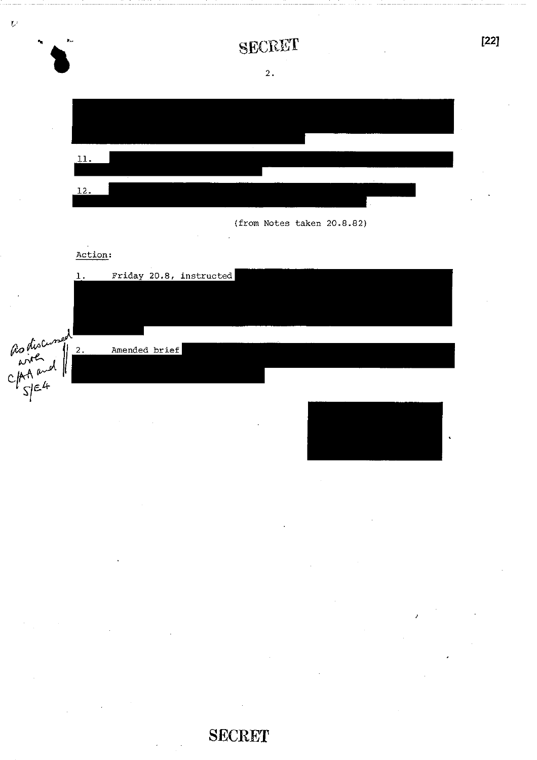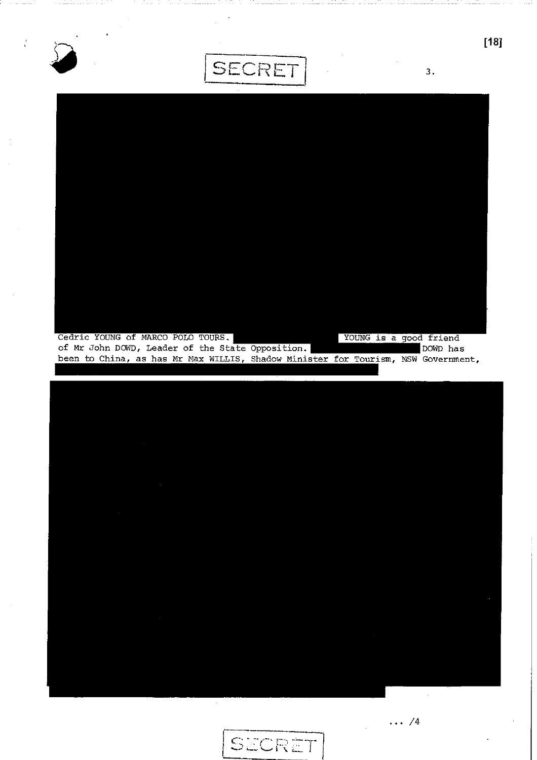





 $\cdots /4$ 

**[18]**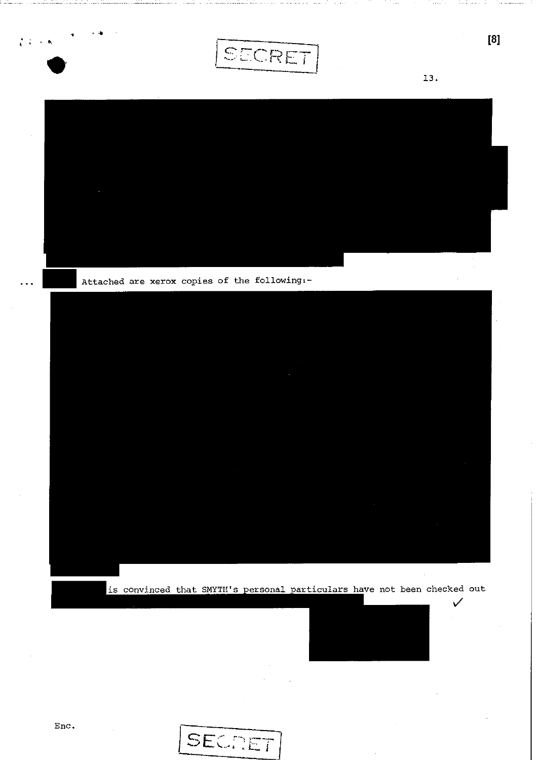

 $\left[\begin{smallmatrix} 8 \end{smallmatrix}\right]$ 



Attached are xerox copies of the following :-



is convinced that SMYTH's personal particulars have not been checked out



 $\checkmark$ 

 $\sim$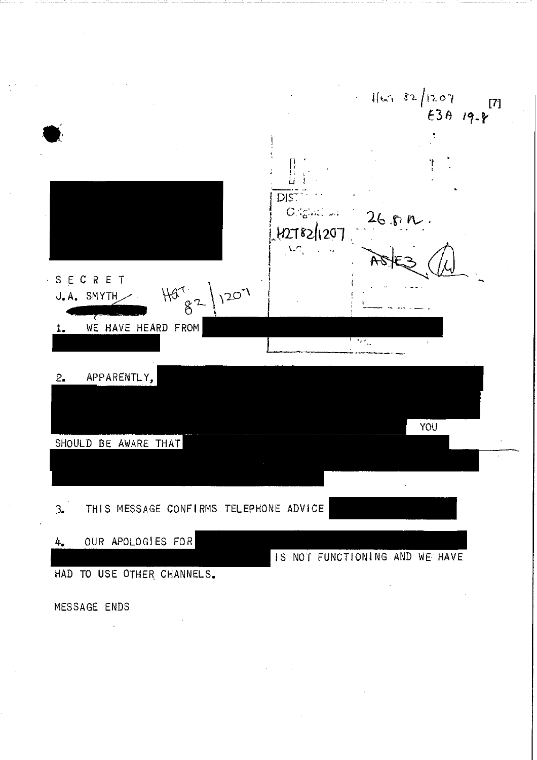$H = 82/1207$  $[7]$ DIS<sup>-</sup> Original us  $26.8 R.$ 127821207  $\Lambda_{\rm C}$ SECRET ł,  $H_{82}$  1207  $J_{\bullet}$  A. SMYTH WE HAVE HEARD FROM  $1.$ APPARENTLY,  $2.$ YOU SHOULD BE AWARE THAT THIS MESSAGE CONFIRMS TELEPHONE ADVICE  $\mathcal{L}$ OUR APOLOGIES FOR  $4.$ IS NOT FUNCTIONING AND WE HAVE HAD TO USE OTHER CHANNELS.

MESSAGE ENDS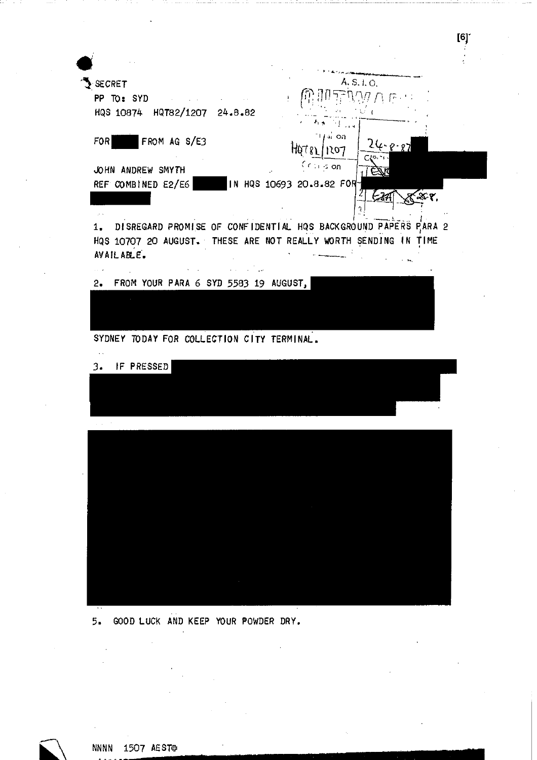

 $[6]$ <sup>-</sup>

5. GOOD LUCK AND KEEP YOUR POWDER DRY.



**NNNN** 1507 AEST<sub>P</sub>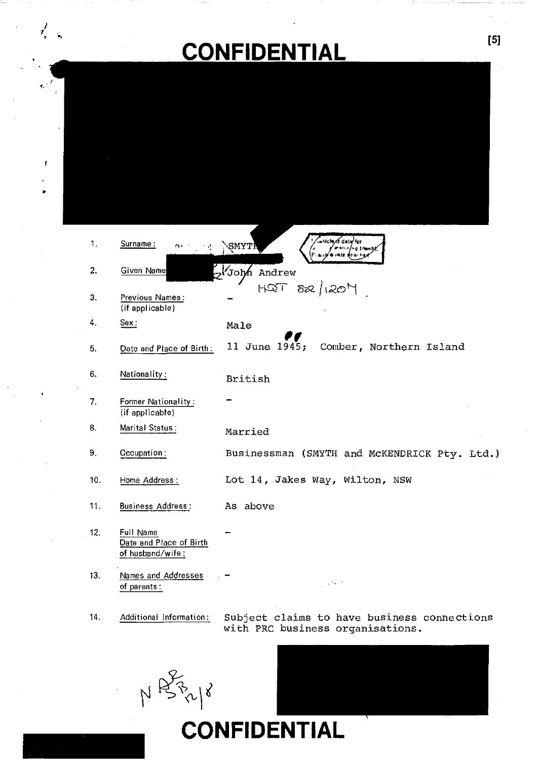# **CONFIDENTIAL [5]**

| 1.  | Surname:                                                 | Myf datu for<br>SMYTH<br>* √r Mestil                                            |
|-----|----------------------------------------------------------|---------------------------------------------------------------------------------|
| 2.  | Given Name                                               | z <sup>ł</sup> John Andrew                                                      |
| З.  | Previous Names:<br>(if applicable)                       | $HQT$ $\frac{1}{2}$ $\frac{1}{2}$                                               |
| 4.  | Sex                                                      | Male                                                                            |
| 5.  | Date and Place of Birth:                                 | 11 June 1945;<br>Comber, Northern Island                                        |
| 6.  | Nationality:                                             | British                                                                         |
| 7.  | Former Nationality:<br>(if applicable)                   |                                                                                 |
| 8.  | Marital Status:                                          | Married                                                                         |
| 9.  | Occupation:                                              | Businessman (SMYTH and McKENDRICK Pty. Ltd.)                                    |
| 10. | Home Address:                                            | Lot 14, Jakes Way, Wilton, NSW                                                  |
| 11. | <b>Business Address:</b>                                 | As above                                                                        |
| 12. | Full Name<br>Date and Place of Birth<br>of husband/wife: |                                                                                 |
| 13. | Names and Addresses<br>of parents:                       | $\sim 10^{-12}$                                                                 |
| 14. | Additional Information:                                  | Subject claims to have business connections<br>with PRC business organisations. |
|     |                                                          |                                                                                 |



•

 $\mathbf{f}$ 

 $\frac{1}{2}$  ,

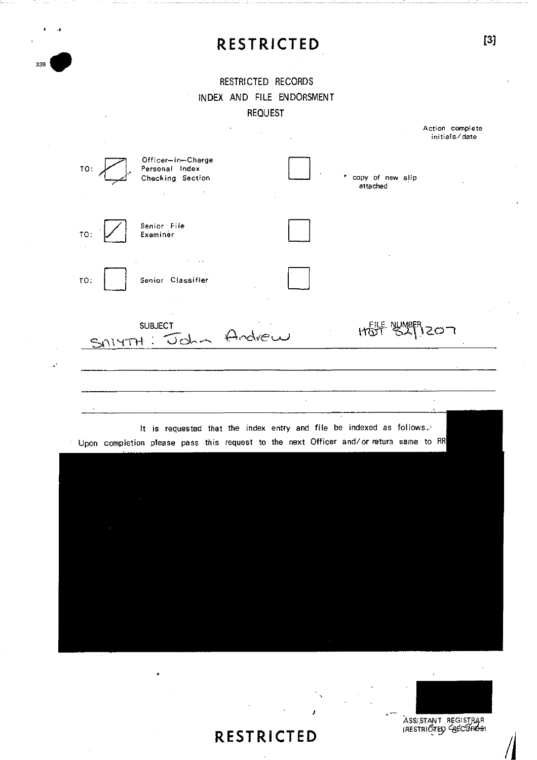# **RESTRICTED [3]**

### RESTRICTED RECORDS INDEX AND FILE ENDORSMENT REQUEST

338



ASSISTANT REGISTRAR ASSISTANT REGISTRAR<br>(RESTRICTED GECORDS)

## **RESTRICTED**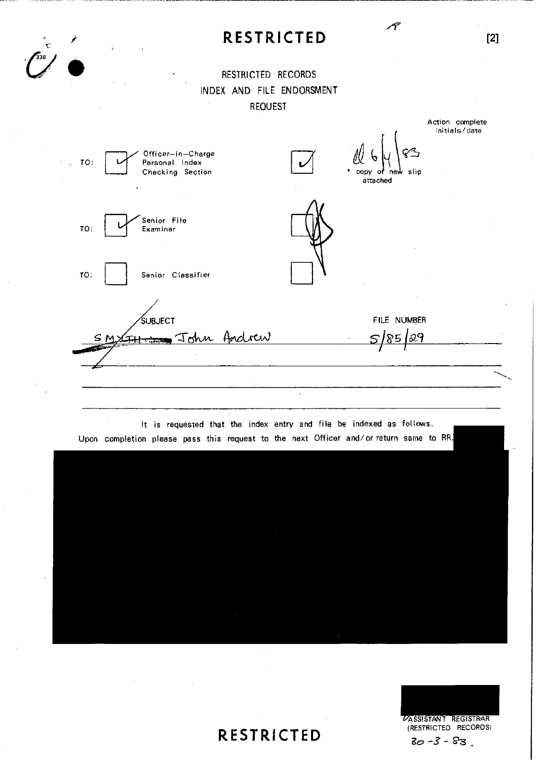## **RESTRICTED [2]**

### RESTRICTED RECORDS INDEX AND FILE ENDORSMENT  $\bar{z}$ REQUEST







# **RESTRICTED**

 $\bar{z}$ 

Action complete